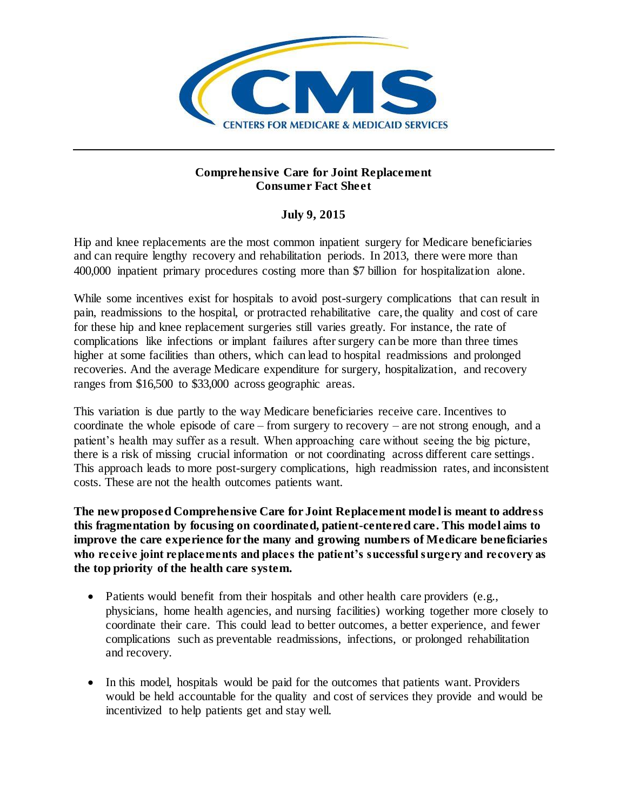

## **Comprehensive Care for Joint Replacement Consumer Fact Sheet**

## **July 9, 2015**

Hip and knee replacements are the most common inpatient surgery for Medicare beneficiaries and can require lengthy recovery and rehabilitation periods. In 2013, there were more than 400,000 inpatient primary procedures costing more than \$7 billion for hospitalization alone.

While some incentives exist for hospitals to avoid post-surgery complications that can result in pain, readmissions to the hospital, or protracted rehabilitative care, the quality and cost of care for these hip and knee replacement surgeries still varies greatly. For instance, the rate of complications like infections or implant failures after surgery can be more than three times higher at some facilities than others, which can lead to hospital readmissions and prolonged recoveries. And the average Medicare expenditure for surgery, hospitalization, and recovery ranges from \$16,500 to \$33,000 across geographic areas.

This variation is due partly to the way Medicare beneficiaries receive care. Incentives to coordinate the whole episode of care – from surgery to recovery – are not strong enough, and a patient's health may suffer as a result. When approaching care without seeing the big picture, there is a risk of missing crucial information or not coordinating across different care settings. This approach leads to more post-surgery complications, high readmission rates, and inconsistent costs. These are not the health outcomes patients want.

**The new proposed Comprehensive Care for Joint Replacement model is meant to address this fragmentation by focusing on coordinated, patient-centered care. This model aims to improve the care experience for the many and growing numbers of Medicare beneficiaries who receive joint replacements and places the patient's successful surgery and recovery as the top priority of the health care system.** 

- Patients would benefit from their hospitals and other health care providers (e.g., physicians, home health agencies, and nursing facilities) working together more closely to coordinate their care. This could lead to better outcomes, a better experience, and fewer complications such as preventable readmissions, infections, or prolonged rehabilitation and recovery.
- In this model, hospitals would be paid for the outcomes that patients want. Providers would be held accountable for the quality and cost of services they provide and would be incentivized to help patients get and stay well.